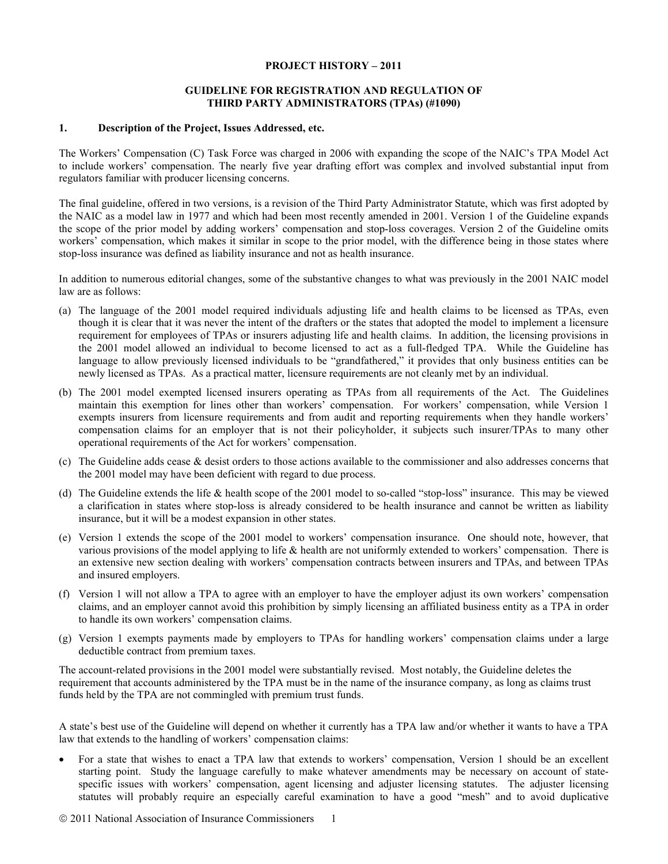### **PROJECT HISTORY – 2011**

## **GUIDELINE FOR REGISTRATION AND REGULATION OF THIRD PARTY ADMINISTRATORS (TPAs) (#1090)**

## **1. Description of the Project, Issues Addressed, etc.**

The Workers' Compensation (C) Task Force was charged in 2006 with expanding the scope of the NAIC's TPA Model Act to include workers' compensation. The nearly five year drafting effort was complex and involved substantial input from regulators familiar with producer licensing concerns.

The final guideline, offered in two versions, is a revision of the Third Party Administrator Statute, which was first adopted by the NAIC as a model law in 1977 and which had been most recently amended in 2001. Version 1 of the Guideline expands the scope of the prior model by adding workers' compensation and stop-loss coverages. Version 2 of the Guideline omits workers' compensation, which makes it similar in scope to the prior model, with the difference being in those states where stop-loss insurance was defined as liability insurance and not as health insurance.

In addition to numerous editorial changes, some of the substantive changes to what was previously in the 2001 NAIC model law are as follows:

- (a) The language of the 2001 model required individuals adjusting life and health claims to be licensed as TPAs, even though it is clear that it was never the intent of the drafters or the states that adopted the model to implement a licensure requirement for employees of TPAs or insurers adjusting life and health claims. In addition, the licensing provisions in the 2001 model allowed an individual to become licensed to act as a full-fledged TPA. While the Guideline has language to allow previously licensed individuals to be "grandfathered," it provides that only business entities can be newly licensed as TPAs. As a practical matter, licensure requirements are not cleanly met by an individual.
- (b) The 2001 model exempted licensed insurers operating as TPAs from all requirements of the Act. The Guidelines maintain this exemption for lines other than workers' compensation. For workers' compensation, while Version 1 exempts insurers from licensure requirements and from audit and reporting requirements when they handle workers' compensation claims for an employer that is not their policyholder, it subjects such insurer/TPAs to many other operational requirements of the Act for workers' compensation.
- (c) The Guideline adds cease & desist orders to those actions available to the commissioner and also addresses concerns that the 2001 model may have been deficient with regard to due process.
- (d) The Guideline extends the life & health scope of the 2001 model to so-called "stop-loss" insurance. This may be viewed a clarification in states where stop-loss is already considered to be health insurance and cannot be written as liability insurance, but it will be a modest expansion in other states.
- (e) Version 1 extends the scope of the 2001 model to workers' compensation insurance. One should note, however, that various provisions of the model applying to life & health are not uniformly extended to workers' compensation. There is an extensive new section dealing with workers' compensation contracts between insurers and TPAs, and between TPAs and insured employers.
- (f) Version 1 will not allow a TPA to agree with an employer to have the employer adjust its own workers' compensation claims, and an employer cannot avoid this prohibition by simply licensing an affiliated business entity as a TPA in order to handle its own workers' compensation claims.
- (g) Version 1 exempts payments made by employers to TPAs for handling workers' compensation claims under a large deductible contract from premium taxes.

The account-related provisions in the 2001 model were substantially revised. Most notably, the Guideline deletes the requirement that accounts administered by the TPA must be in the name of the insurance company, as long as claims trust funds held by the TPA are not commingled with premium trust funds.

A state's best use of the Guideline will depend on whether it currently has a TPA law and/or whether it wants to have a TPA law that extends to the handling of workers' compensation claims:

• For a state that wishes to enact a TPA law that extends to workers' compensation, Version 1 should be an excellent starting point. Study the language carefully to make whatever amendments may be necessary on account of statespecific issues with workers' compensation, agent licensing and adjuster licensing statutes. The adjuster licensing statutes will probably require an especially careful examination to have a good "mesh" and to avoid duplicative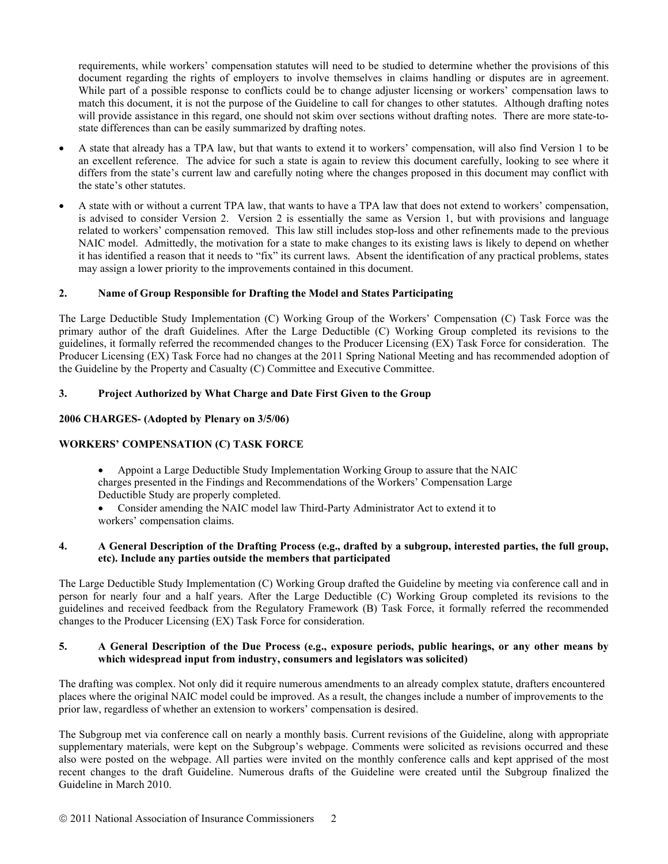requirements, while workers' compensation statutes will need to be studied to determine whether the provisions of this document regarding the rights of employers to involve themselves in claims handling or disputes are in agreement. While part of a possible response to conflicts could be to change adjuster licensing or workers' compensation laws to match this document, it is not the purpose of the Guideline to call for changes to other statutes. Although drafting notes will provide assistance in this regard, one should not skim over sections without drafting notes. There are more state-tostate differences than can be easily summarized by drafting notes.

- A state that already has a TPA law, but that wants to extend it to workers' compensation, will also find Version 1 to be an excellent reference. The advice for such a state is again to review this document carefully, looking to see where it differs from the state's current law and carefully noting where the changes proposed in this document may conflict with the state's other statutes.
- A state with or without a current TPA law, that wants to have a TPA law that does not extend to workers' compensation, is advised to consider Version 2. Version 2 is essentially the same as Version 1, but with provisions and language related to workers' compensation removed. This law still includes stop-loss and other refinements made to the previous NAIC model. Admittedly, the motivation for a state to make changes to its existing laws is likely to depend on whether it has identified a reason that it needs to "fix" its current laws. Absent the identification of any practical problems, states may assign a lower priority to the improvements contained in this document.

# **2. Name of Group Responsible for Drafting the Model and States Participating**

The Large Deductible Study Implementation (C) Working Group of the Workers' Compensation (C) Task Force was the primary author of the draft Guidelines. After the Large Deductible (C) Working Group completed its revisions to the guidelines, it formally referred the recommended changes to the Producer Licensing (EX) Task Force for consideration. The Producer Licensing (EX) Task Force had no changes at the 2011 Spring National Meeting and has recommended adoption of the Guideline by the Property and Casualty (C) Committee and Executive Committee.

# **3. Project Authorized by What Charge and Date First Given to the Group**

# **2006 CHARGES- (Adopted by Plenary on 3/5/06)**

# **WORKERS' COMPENSATION (C) TASK FORCE**

- Appoint a Large Deductible Study Implementation Working Group to assure that the NAIC charges presented in the Findings and Recommendations of the Workers' Compensation Large Deductible Study are properly completed.
- Consider amending the NAIC model law Third-Party Administrator Act to extend it to workers' compensation claims.

# **4. A General Description of the Drafting Process (e.g., drafted by a subgroup, interested parties, the full group, etc). Include any parties outside the members that participated**

The Large Deductible Study Implementation (C) Working Group drafted the Guideline by meeting via conference call and in person for nearly four and a half years. After the Large Deductible (C) Working Group completed its revisions to the guidelines and received feedback from the Regulatory Framework (B) Task Force, it formally referred the recommended changes to the Producer Licensing (EX) Task Force for consideration.

# **5. A General Description of the Due Process (e.g., exposure periods, public hearings, or any other means by which widespread input from industry, consumers and legislators was solicited)**

The drafting was complex. Not only did it require numerous amendments to an already complex statute, drafters encountered places where the original NAIC model could be improved. As a result, the changes include a number of improvements to the prior law, regardless of whether an extension to workers' compensation is desired.

The Subgroup met via conference call on nearly a monthly basis. Current revisions of the Guideline, along with appropriate supplementary materials, were kept on the Subgroup's webpage. Comments were solicited as revisions occurred and these also were posted on the webpage. All parties were invited on the monthly conference calls and kept apprised of the most recent changes to the draft Guideline. Numerous drafts of the Guideline were created until the Subgroup finalized the Guideline in March 2010.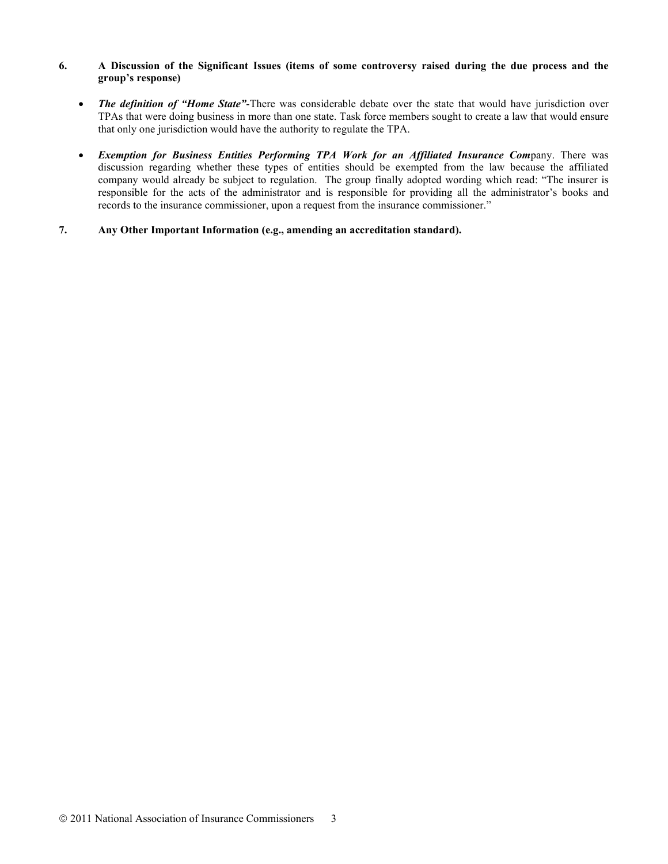# **6. A Discussion of the Significant Issues (items of some controversy raised during the due process and the group's response)**

- *The definition of "Home State"*-There was considerable debate over the state that would have jurisdiction over TPAs that were doing business in more than one state. Task force members sought to create a law that would ensure that only one jurisdiction would have the authority to regulate the TPA.
- *Exemption for Business Entities Performing TPA Work for an Affiliated Insurance Com*pany. There was discussion regarding whether these types of entities should be exempted from the law because the affiliated company would already be subject to regulation. The group finally adopted wording which read: "The insurer is responsible for the acts of the administrator and is responsible for providing all the administrator's books and records to the insurance commissioner, upon a request from the insurance commissioner."
- **7. Any Other Important Information (e.g., amending an accreditation standard).**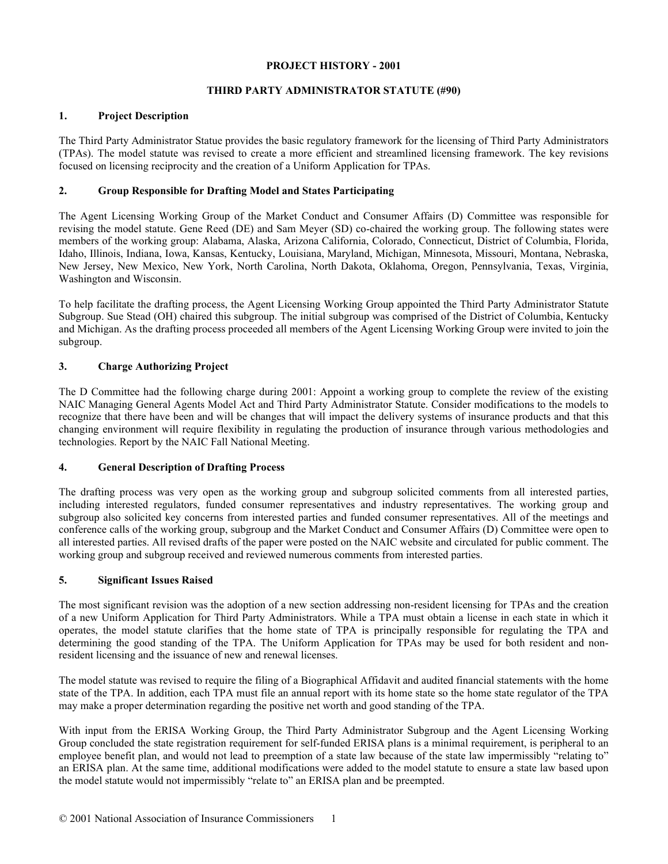## **PROJECT HISTORY - 2001**

# **THIRD PARTY ADMINISTRATOR STATUTE (#90)**

# **1. Project Description**

The Third Party Administrator Statue provides the basic regulatory framework for the licensing of Third Party Administrators (TPAs). The model statute was revised to create a more efficient and streamlined licensing framework. The key revisions focused on licensing reciprocity and the creation of a Uniform Application for TPAs.

# **2. Group Responsible for Drafting Model and States Participating**

The Agent Licensing Working Group of the Market Conduct and Consumer Affairs (D) Committee was responsible for revising the model statute. Gene Reed (DE) and Sam Meyer (SD) co-chaired the working group. The following states were members of the working group: Alabama, Alaska, Arizona California, Colorado, Connecticut, District of Columbia, Florida, Idaho, Illinois, Indiana, Iowa, Kansas, Kentucky, Louisiana, Maryland, Michigan, Minnesota, Missouri, Montana, Nebraska, New Jersey, New Mexico, New York, North Carolina, North Dakota, Oklahoma, Oregon, Pennsylvania, Texas, Virginia, Washington and Wisconsin.

To help facilitate the drafting process, the Agent Licensing Working Group appointed the Third Party Administrator Statute Subgroup. Sue Stead (OH) chaired this subgroup. The initial subgroup was comprised of the District of Columbia, Kentucky and Michigan. As the drafting process proceeded all members of the Agent Licensing Working Group were invited to join the subgroup.

# **3. Charge Authorizing Project**

The D Committee had the following charge during 2001: Appoint a working group to complete the review of the existing NAIC Managing General Agents Model Act and Third Party Administrator Statute. Consider modifications to the models to recognize that there have been and will be changes that will impact the delivery systems of insurance products and that this changing environment will require flexibility in regulating the production of insurance through various methodologies and technologies. Report by the NAIC Fall National Meeting.

# **4. General Description of Drafting Process**

The drafting process was very open as the working group and subgroup solicited comments from all interested parties, including interested regulators, funded consumer representatives and industry representatives. The working group and subgroup also solicited key concerns from interested parties and funded consumer representatives. All of the meetings and conference calls of the working group, subgroup and the Market Conduct and Consumer Affairs (D) Committee were open to all interested parties. All revised drafts of the paper were posted on the NAIC website and circulated for public comment. The working group and subgroup received and reviewed numerous comments from interested parties.

### **5. Significant Issues Raised**

The most significant revision was the adoption of a new section addressing non-resident licensing for TPAs and the creation of a new Uniform Application for Third Party Administrators. While a TPA must obtain a license in each state in which it operates, the model statute clarifies that the home state of TPA is principally responsible for regulating the TPA and determining the good standing of the TPA. The Uniform Application for TPAs may be used for both resident and nonresident licensing and the issuance of new and renewal licenses.

The model statute was revised to require the filing of a Biographical Affidavit and audited financial statements with the home state of the TPA. In addition, each TPA must file an annual report with its home state so the home state regulator of the TPA may make a proper determination regarding the positive net worth and good standing of the TPA.

With input from the ERISA Working Group, the Third Party Administrator Subgroup and the Agent Licensing Working Group concluded the state registration requirement for self-funded ERISA plans is a minimal requirement, is peripheral to an employee benefit plan, and would not lead to preemption of a state law because of the state law impermissibly "relating to" an ERISA plan. At the same time, additional modifications were added to the model statute to ensure a state law based upon the model statute would not impermissibly "relate to" an ERISA plan and be preempted.